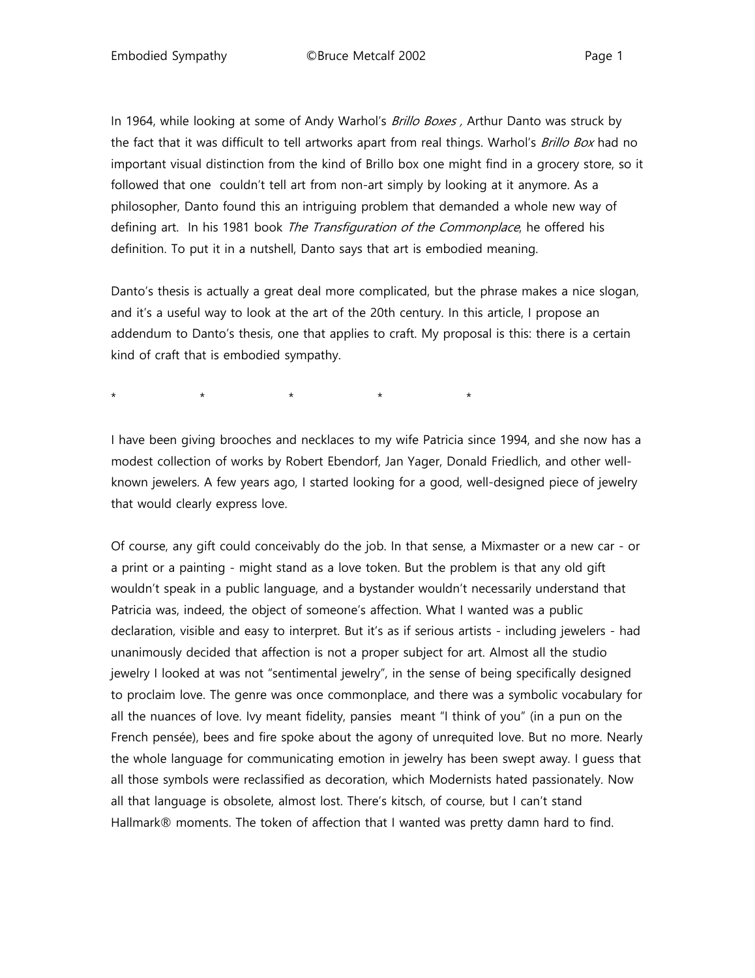In 1964, while looking at some of Andy Warhol's Brillo Boxes, Arthur Danto was struck by the fact that it was difficult to tell artworks apart from real things. Warhol's Brillo Box had no important visual distinction from the kind of Brillo box one might find in a grocery store, so it followed that one couldn't tell art from non-art simply by looking at it anymore. As a philosopher, Danto found this an intriguing problem that demanded a whole new way of defining art. In his 1981 book The Transfiguration of the Commonplace, he offered his definition. To put it in a nutshell, Danto says that art is embodied meaning.

Danto's thesis is actually a great deal more complicated, but the phrase makes a nice slogan, and it's a useful way to look at the art of the 20th century. In this article, I propose an addendum to Danto's thesis, one that applies to craft. My proposal is this: there is a certain kind of craft that is embodied sympathy.

\* \* \* \* \* \* \* \*

I have been giving brooches and necklaces to my wife Patricia since 1994, and she now has a modest collection of works by Robert Ebendorf, Jan Yager, Donald Friedlich, and other wellknown jewelers. A few years ago, I started looking for a good, well-designed piece of jewelry that would clearly express love.

Of course, any gift could conceivably do the job. In that sense, a Mixmaster or a new car - or a print or a painting - might stand as a love token. But the problem is that any old gift wouldn't speak in a public language, and a bystander wouldn't necessarily understand that Patricia was, indeed, the object of someone's affection. What I wanted was a public declaration, visible and easy to interpret. But it's as if serious artists - including jewelers - had unanimously decided that affection is not a proper subject for art. Almost all the studio jewelry I looked at was not "sentimental jewelry", in the sense of being specifically designed to proclaim love. The genre was once commonplace, and there was a symbolic vocabulary for all the nuances of love. Ivy meant fidelity, pansies meant "I think of you" (in a pun on the French pensée), bees and fire spoke about the agony of unrequited love. But no more. Nearly the whole language for communicating emotion in jewelry has been swept away. I guess that all those symbols were reclassified as decoration, which Modernists hated passionately. Now all that language is obsolete, almost lost. There's kitsch, of course, but I can't stand Hallmark® moments. The token of affection that I wanted was pretty damn hard to find.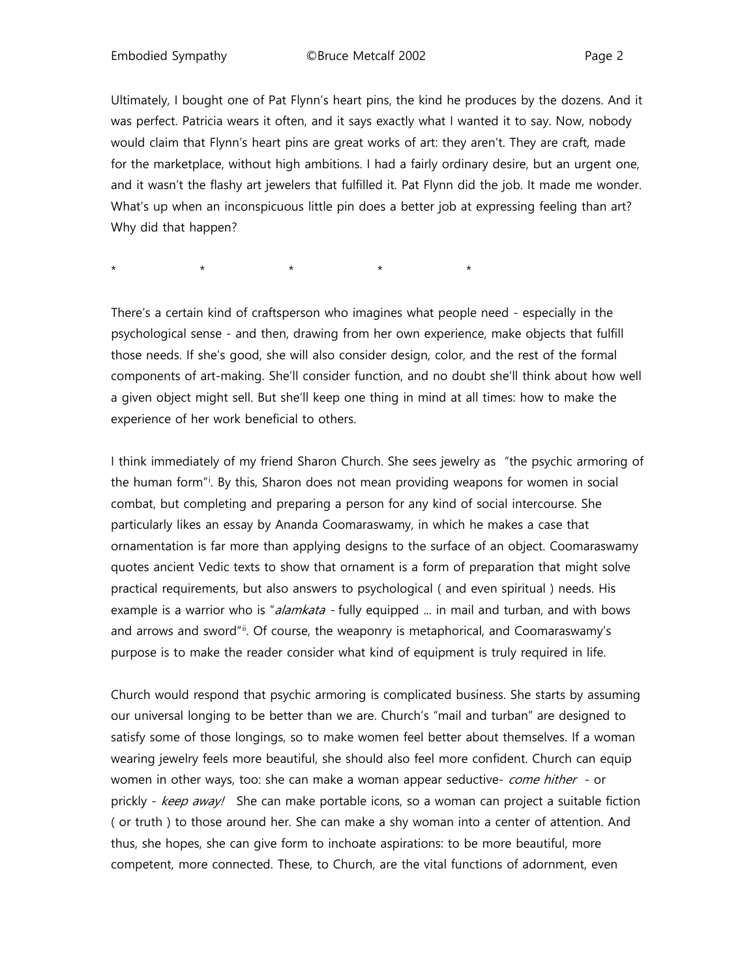Ultimately, I bought one of Pat Flynn's heart pins, the kind he produces by the dozens. And it was perfect. Patricia wears it often, and it says exactly what I wanted it to say. Now, nobody would claim that Flynn's heart pins are great works of art: they aren't. They are craft, made for the marketplace, without high ambitions. I had a fairly ordinary desire, but an urgent one, and it wasn't the flashy art jewelers that fulfilled it. Pat Flynn did the job. It made me wonder. What's up when an inconspicuous little pin does a better job at expressing feeling than art? Why did that happen?

\* \* \* \* \* \* \* \*

There's a certain kind of craftsperson who imagines what people need - especially in the psychological sense - and then, drawing from her own experience, make objects that fulfill those needs. If she's good, she will also consider design, color, and the rest of the formal components of art-making. She'll consider function, and no doubt she'll think about how well a given object might sell. But she'll keep one thing in mind at all times: how to make the experience of her work beneficial to others.

I think immediately of my friend Sharon Church. She sees jewelry as "the psychic armoring of the human form"[i](#page-8-0) . By this, Sharon does not mean providing weapons for women in social combat, but completing and preparing a person for any kind of social intercourse. She particularly likes an essay by Ananda Coomaraswamy, in which he makes a case that ornamentation is far more than applying designs to the surface of an object. Coomaraswamy quotes ancient Vedic texts to show that ornament is a form of preparation that might solve practical requirements, but also answers to psychological ( and even spiritual ) needs. His example is a warrior who is "*alamkata* - fully equipped ... in mail and turban, and with bows and arrows and sword"[ii.](#page-9-0) Of course, the weaponry is metaphorical, and Coomaraswamy's purpose is to make the reader consider what kind of equipment is truly required in life.

Church would respond that psychic armoring is complicated business. She starts by assuming our universal longing to be better than we are. Church's "mail and turban" are designed to satisfy some of those longings, so to make women feel better about themselves. If a woman wearing jewelry feels more beautiful, she should also feel more confident. Church can equip women in other ways, too: she can make a woman appear seductive- come hither - or prickly - keep away! She can make portable icons, so a woman can project a suitable fiction ( or truth ) to those around her. She can make a shy woman into a center of attention. And thus, she hopes, she can give form to inchoate aspirations: to be more beautiful, more competent, more connected. These, to Church, are the vital functions of adornment, even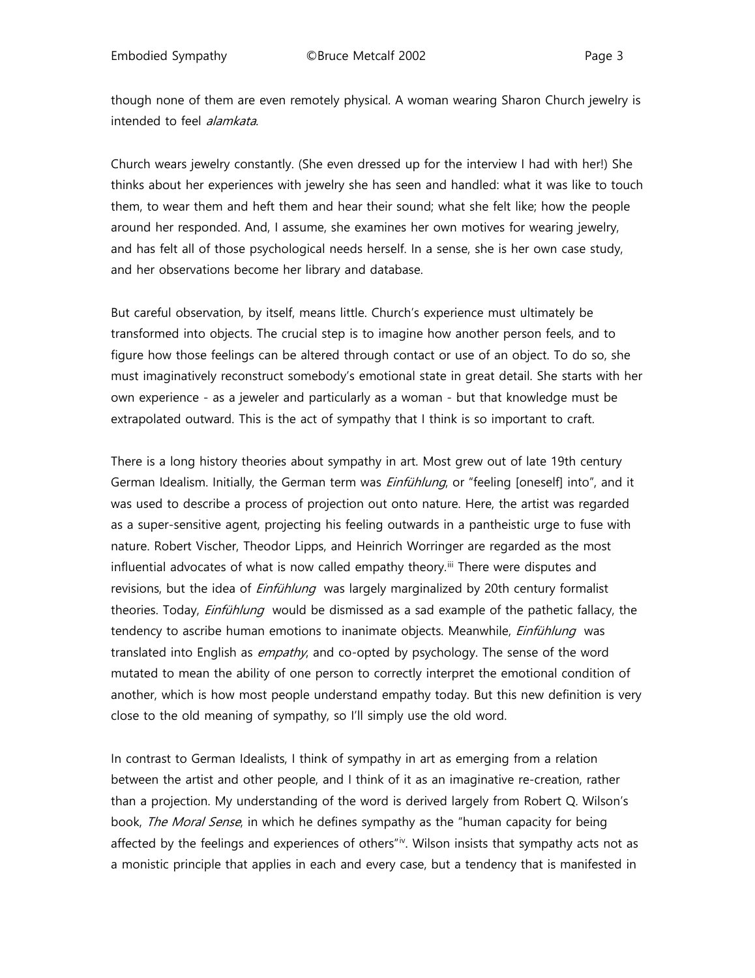though none of them are even remotely physical. A woman wearing Sharon Church jewelry is intended to feel alamkata.

Church wears jewelry constantly. (She even dressed up for the interview I had with her!) She thinks about her experiences with jewelry she has seen and handled: what it was like to touch them, to wear them and heft them and hear their sound; what she felt like; how the people around her responded. And, I assume, she examines her own motives for wearing jewelry, and has felt all of those psychological needs herself. In a sense, she is her own case study, and her observations become her library and database.

But careful observation, by itself, means little. Church's experience must ultimately be transformed into objects. The crucial step is to imagine how another person feels, and to figure how those feelings can be altered through contact or use of an object. To do so, she must imaginatively reconstruct somebody's emotional state in great detail. She starts with her own experience - as a jeweler and particularly as a woman - but that knowledge must be extrapolated outward. This is the act of sympathy that I think is so important to craft.

There is a long history theories about sympathy in art. Most grew out of late 19th century German Idealism. Initially, the German term was *Einfühlung*, or "feeling [oneself] into", and it was used to describe a process of projection out onto nature. Here, the artist was regarded as a super-sensitive agent, projecting his feeling outwards in a pantheistic urge to fuse with nature. Robert Vischer, Theodor Lipps, and Heinrich Worringer are regarded as the most influential advocates of what is now called empathy theory.<sup>[iii](#page-9-1)</sup> There were disputes and revisions, but the idea of *Einfühlung* was largely marginalized by 20th century formalist theories. Today, *Einfühlung* would be dismissed as a sad example of the pathetic fallacy, the tendency to ascribe human emotions to inanimate objects. Meanwhile, *Einfühlung* was translated into English as *empathy*, and co-opted by psychology. The sense of the word mutated to mean the ability of one person to correctly interpret the emotional condition of another, which is how most people understand empathy today. But this new definition is very close to the old meaning of sympathy, so I'll simply use the old word.

In contrast to German Idealists, I think of sympathy in art as emerging from a relation between the artist and other people, and I think of it as an imaginative re-creation, rather than a projection. My understanding of the word is derived largely from Robert Q. Wilson's book, The Moral Sense, in which he defines sympathy as the "human capacity for being affected by the feelings and experiences of others" $\dot{N}$ . Wilson insists that sympathy acts not as a monistic principle that applies in each and every case, but a tendency that is manifested in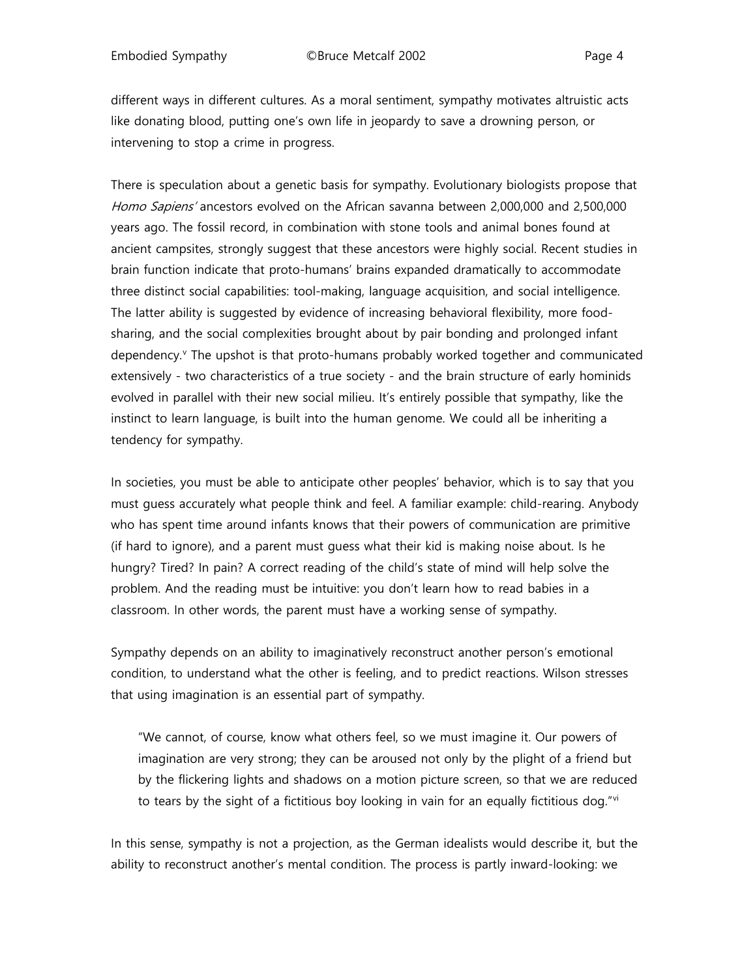different ways in different cultures. As a moral sentiment, sympathy motivates altruistic acts like donating blood, putting one's own life in jeopardy to save a drowning person, or intervening to stop a crime in progress.

There is speculation about a genetic basis for sympathy. Evolutionary biologists propose that Homo Sapiens' ancestors evolved on the African savanna between 2,000,000 and 2,500,000 years ago. The fossil record, in combination with stone tools and animal bones found at ancient campsites, strongly suggest that these ancestors were highly social. Recent studies in brain function indicate that proto-humans' brains expanded dramatically to accommodate three distinct social capabilities: tool-making, language acquisition, and social intelligence. The latter ability is suggested by evidence of increasing behavioral flexibility, more foodsharing, and the social complexities brought about by pair bonding and prolonged infant dependency.<sup>[v](#page-9-3)</sup> The upshot is that proto-humans probably worked together and communicated extensively - two characteristics of a true society - and the brain structure of early hominids evolved in parallel with their new social milieu. It's entirely possible that sympathy, like the instinct to learn language, is built into the human genome. We could all be inheriting a tendency for sympathy.

In societies, you must be able to anticipate other peoples' behavior, which is to say that you must guess accurately what people think and feel. A familiar example: child-rearing. Anybody who has spent time around infants knows that their powers of communication are primitive (if hard to ignore), and a parent must guess what their kid is making noise about. Is he hungry? Tired? In pain? A correct reading of the child's state of mind will help solve the problem. And the reading must be intuitive: you don't learn how to read babies in a classroom. In other words, the parent must have a working sense of sympathy.

Sympathy depends on an ability to imaginatively reconstruct another person's emotional condition, to understand what the other is feeling, and to predict reactions. Wilson stresses that using imagination is an essential part of sympathy.

"We cannot, of course, know what others feel, so we must imagine it. Our powers of imagination are very strong; they can be aroused not only by the plight of a friend but by the flickering lights and shadows on a motion picture screen, so that we are reduced to tears by the sight of a fictitious boy looking in vain for an equally fictitious dog." $\dot{v}$ 

In this sense, sympathy is not a projection, as the German idealists would describe it, but the ability to reconstruct another's mental condition. The process is partly inward-looking: we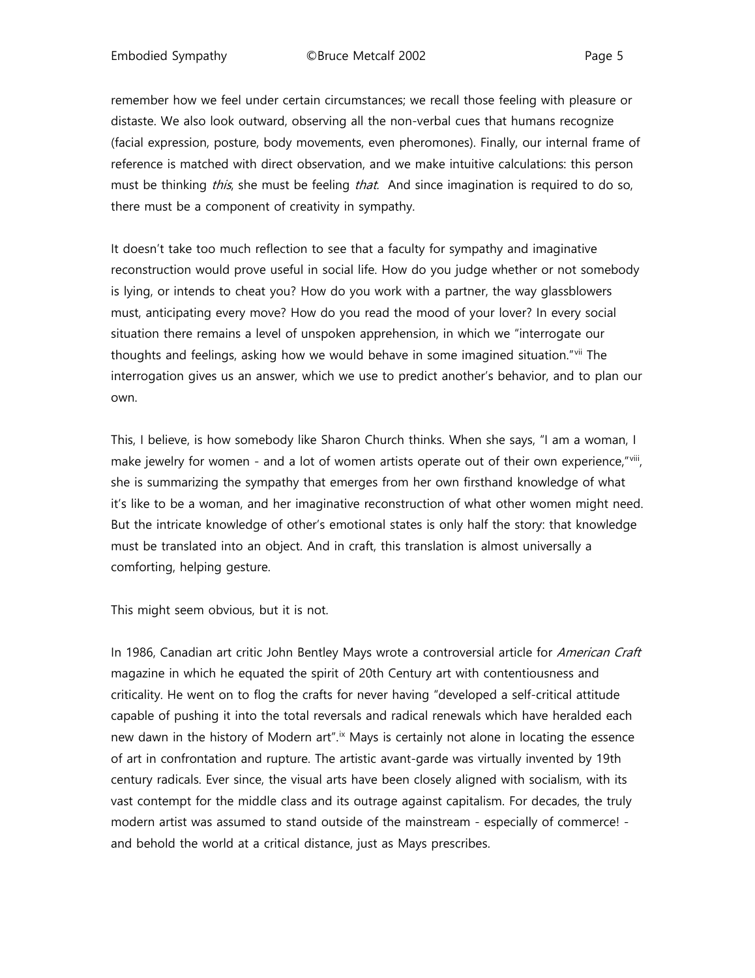remember how we feel under certain circumstances; we recall those feeling with pleasure or distaste. We also look outward, observing all the non-verbal cues that humans recognize (facial expression, posture, body movements, even pheromones). Finally, our internal frame of reference is matched with direct observation, and we make intuitive calculations: this person must be thinking *this*, she must be feeling *that*. And since imagination is required to do so, there must be a component of creativity in sympathy.

It doesn't take too much reflection to see that a faculty for sympathy and imaginative reconstruction would prove useful in social life. How do you judge whether or not somebody is lying, or intends to cheat you? How do you work with a partner, the way glassblowers must, anticipating every move? How do you read the mood of your lover? In every social situation there remains a level of unspoken apprehension, in which we "interrogate our thoughts and feelings, asking how we would behave in some imagined situation."[vii](#page-9-5) The interrogation gives us an answer, which we use to predict another's behavior, and to plan our own.

This, I believe, is how somebody like Sharon Church thinks. When she says, "I am a woman, I make jewelry for women - and a lot of women artists operate out of their own experience,"[viii,](#page-9-6) she is summarizing the sympathy that emerges from her own firsthand knowledge of what it's like to be a woman, and her imaginative reconstruction of what other women might need. But the intricate knowledge of other's emotional states is only half the story: that knowledge must be translated into an object. And in craft, this translation is almost universally a comforting, helping gesture.

This might seem obvious, but it is not.

In 1986, Canadian art critic John Bentley Mays wrote a controversial article for American Craft magazine in which he equated the spirit of 20th Century art with contentiousness and criticality. He went on to flog the crafts for never having "developed a self-critical attitude capable of pushing it into the total reversals and radical renewals which have heralded each new dawn in the history of Modern art".<sup>[ix](#page-9-7)</sup> Mays is certainly not alone in locating the essence of art in confrontation and rupture. The artistic avant-garde was virtually invented by 19th century radicals. Ever since, the visual arts have been closely aligned with socialism, with its vast contempt for the middle class and its outrage against capitalism. For decades, the truly modern artist was assumed to stand outside of the mainstream - especially of commerce! and behold the world at a critical distance, just as Mays prescribes.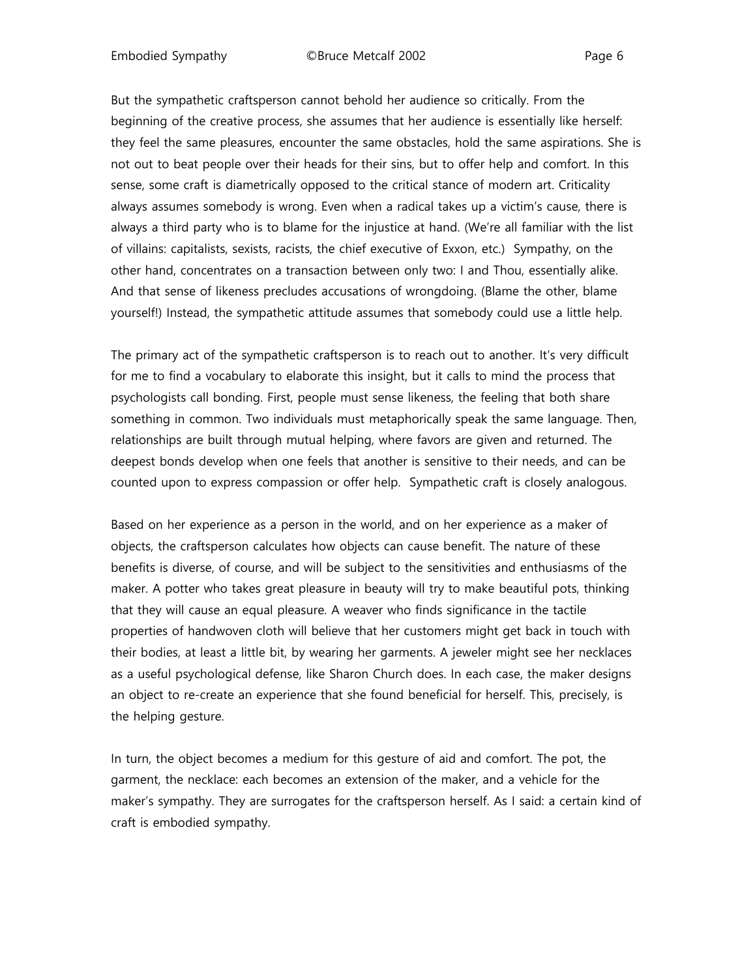Embodied Sympathy ©Bruce Metcalf 2002 Page 6

But the sympathetic craftsperson cannot behold her audience so critically. From the beginning of the creative process, she assumes that her audience is essentially like herself: they feel the same pleasures, encounter the same obstacles, hold the same aspirations. She is not out to beat people over their heads for their sins, but to offer help and comfort. In this sense, some craft is diametrically opposed to the critical stance of modern art. Criticality always assumes somebody is wrong. Even when a radical takes up a victim's cause, there is always a third party who is to blame for the injustice at hand. (We're all familiar with the list of villains: capitalists, sexists, racists, the chief executive of Exxon, etc.) Sympathy, on the other hand, concentrates on a transaction between only two: I and Thou, essentially alike. And that sense of likeness precludes accusations of wrongdoing. (Blame the other, blame yourself!) Instead, the sympathetic attitude assumes that somebody could use a little help.

The primary act of the sympathetic craftsperson is to reach out to another. It's very difficult for me to find a vocabulary to elaborate this insight, but it calls to mind the process that psychologists call bonding. First, people must sense likeness, the feeling that both share something in common. Two individuals must metaphorically speak the same language. Then, relationships are built through mutual helping, where favors are given and returned. The deepest bonds develop when one feels that another is sensitive to their needs, and can be counted upon to express compassion or offer help. Sympathetic craft is closely analogous.

Based on her experience as a person in the world, and on her experience as a maker of objects, the craftsperson calculates how objects can cause benefit. The nature of these benefits is diverse, of course, and will be subject to the sensitivities and enthusiasms of the maker. A potter who takes great pleasure in beauty will try to make beautiful pots, thinking that they will cause an equal pleasure. A weaver who finds significance in the tactile properties of handwoven cloth will believe that her customers might get back in touch with their bodies, at least a little bit, by wearing her garments. A jeweler might see her necklaces as a useful psychological defense, like Sharon Church does. In each case, the maker designs an object to re-create an experience that she found beneficial for herself. This, precisely, is the helping gesture.

In turn, the object becomes a medium for this gesture of aid and comfort. The pot, the garment, the necklace: each becomes an extension of the maker, and a vehicle for the maker's sympathy. They are surrogates for the craftsperson herself. As I said: a certain kind of craft is embodied sympathy.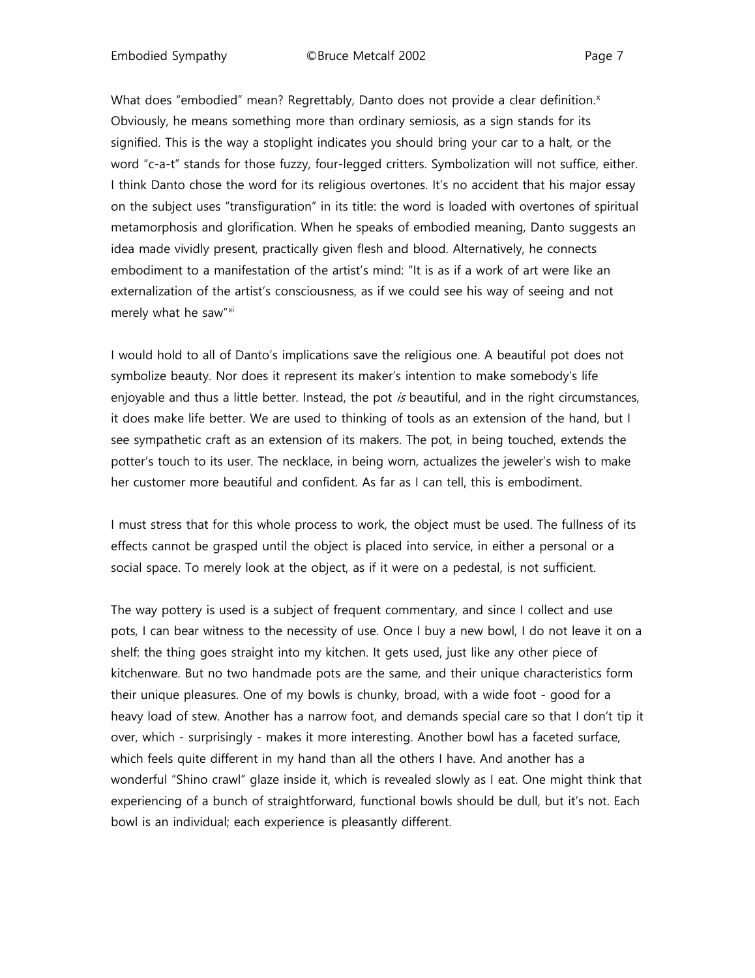Embodied Sympathy **CBruce Metcalf 2002** Page 7

What does "embodied" mean? Regrettably, Danto does not provide a clear definition. $x$ Obviously, he means something more than ordinary semiosis, as a sign stands for its signified. This is the way a stoplight indicates you should bring your car to a halt, or the word "c-a-t" stands for those fuzzy, four-legged critters. Symbolization will not suffice, either. I think Danto chose the word for its religious overtones. It's no accident that his major essay on the subject uses "transfiguration" in its title: the word is loaded with overtones of spiritual metamorphosis and glorification. When he speaks of embodied meaning, Danto suggests an idea made vividly present, practically given flesh and blood. Alternatively, he connects embodiment to a manifestation of the artist's mind: "It is as if a work of art were like an externalization of the artist's consciousness, as if we could see his way of seeing and not merely what he saw"[xi](#page-9-9)

I would hold to all of Danto's implications save the religious one. A beautiful pot does not symbolize beauty. Nor does it represent its maker's intention to make somebody's life enjoyable and thus a little better. Instead, the pot  $is$  beautiful, and in the right circumstances, it does make life better. We are used to thinking of tools as an extension of the hand, but I see sympathetic craft as an extension of its makers. The pot, in being touched, extends the potter's touch to its user. The necklace, in being worn, actualizes the jeweler's wish to make her customer more beautiful and confident. As far as I can tell, this is embodiment.

I must stress that for this whole process to work, the object must be used. The fullness of its effects cannot be grasped until the object is placed into service, in either a personal or a social space. To merely look at the object, as if it were on a pedestal, is not sufficient.

The way pottery is used is a subject of frequent commentary, and since I collect and use pots, I can bear witness to the necessity of use. Once I buy a new bowl, I do not leave it on a shelf: the thing goes straight into my kitchen. It gets used, just like any other piece of kitchenware. But no two handmade pots are the same, and their unique characteristics form their unique pleasures. One of my bowls is chunky, broad, with a wide foot - good for a heavy load of stew. Another has a narrow foot, and demands special care so that I don't tip it over, which - surprisingly - makes it more interesting. Another bowl has a faceted surface, which feels quite different in my hand than all the others I have. And another has a wonderful "Shino crawl" glaze inside it, which is revealed slowly as I eat. One might think that experiencing of a bunch of straightforward, functional bowls should be dull, but it's not. Each bowl is an individual; each experience is pleasantly different.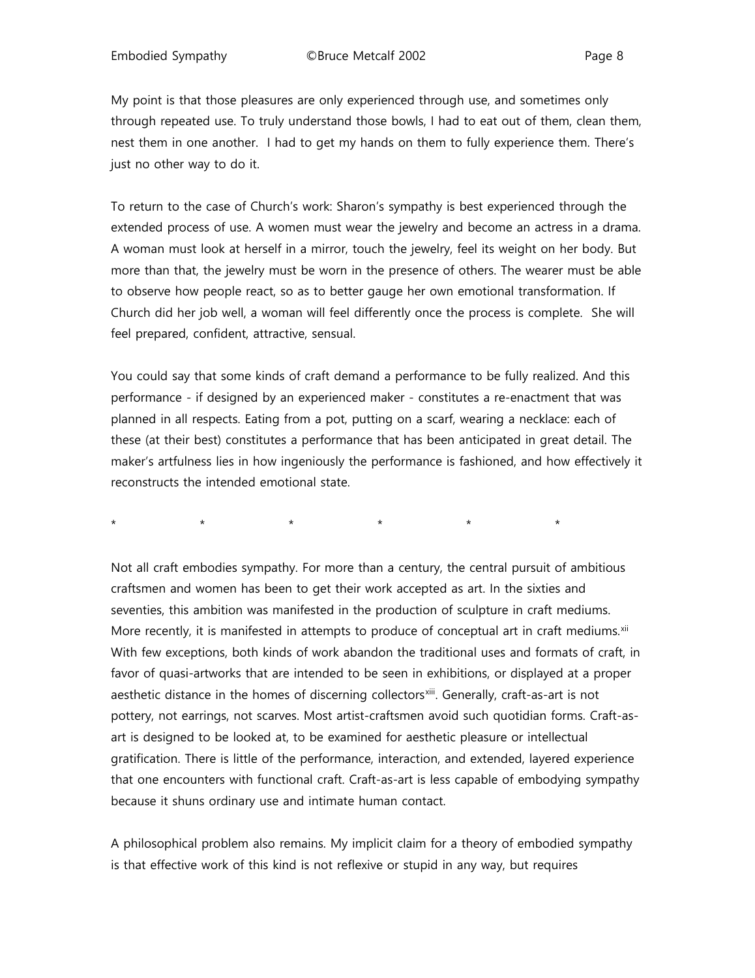My point is that those pleasures are only experienced through use, and sometimes only through repeated use. To truly understand those bowls, I had to eat out of them, clean them, nest them in one another. I had to get my hands on them to fully experience them. There's just no other way to do it.

To return to the case of Church's work: Sharon's sympathy is best experienced through the extended process of use. A women must wear the jewelry and become an actress in a drama. A woman must look at herself in a mirror, touch the jewelry, feel its weight on her body. But more than that, the jewelry must be worn in the presence of others. The wearer must be able to observe how people react, so as to better gauge her own emotional transformation. If Church did her job well, a woman will feel differently once the process is complete. She will feel prepared, confident, attractive, sensual.

You could say that some kinds of craft demand a performance to be fully realized. And this performance - if designed by an experienced maker - constitutes a re-enactment that was planned in all respects. Eating from a pot, putting on a scarf, wearing a necklace: each of these (at their best) constitutes a performance that has been anticipated in great detail. The maker's artfulness lies in how ingeniously the performance is fashioned, and how effectively it reconstructs the intended emotional state.

\* \* \* \* \* \* \* \* \* \*

Not all craft embodies sympathy. For more than a century, the central pursuit of ambitious craftsmen and women has been to get their work accepted as art. In the sixties and seventies, this ambition was manifested in the production of sculpture in craft mediums. More recently, it is manifested in attempts to produce of conceptual art in craft mediums. $x^{iii}$ With few exceptions, both kinds of work abandon the traditional uses and formats of craft, in favor of quasi-artworks that are intended to be seen in exhibitions, or displayed at a proper aesthetic distance in the homes of discerning collectors<sup>xiii</sup>. Generally, craft-as-art is not pottery, not earrings, not scarves. Most artist-craftsmen avoid such quotidian forms. Craft-asart is designed to be looked at, to be examined for aesthetic pleasure or intellectual gratification. There is little of the performance, interaction, and extended, layered experience that one encounters with functional craft. Craft-as-art is less capable of embodying sympathy because it shuns ordinary use and intimate human contact.

A philosophical problem also remains. My implicit claim for a theory of embodied sympathy is that effective work of this kind is not reflexive or stupid in any way, but requires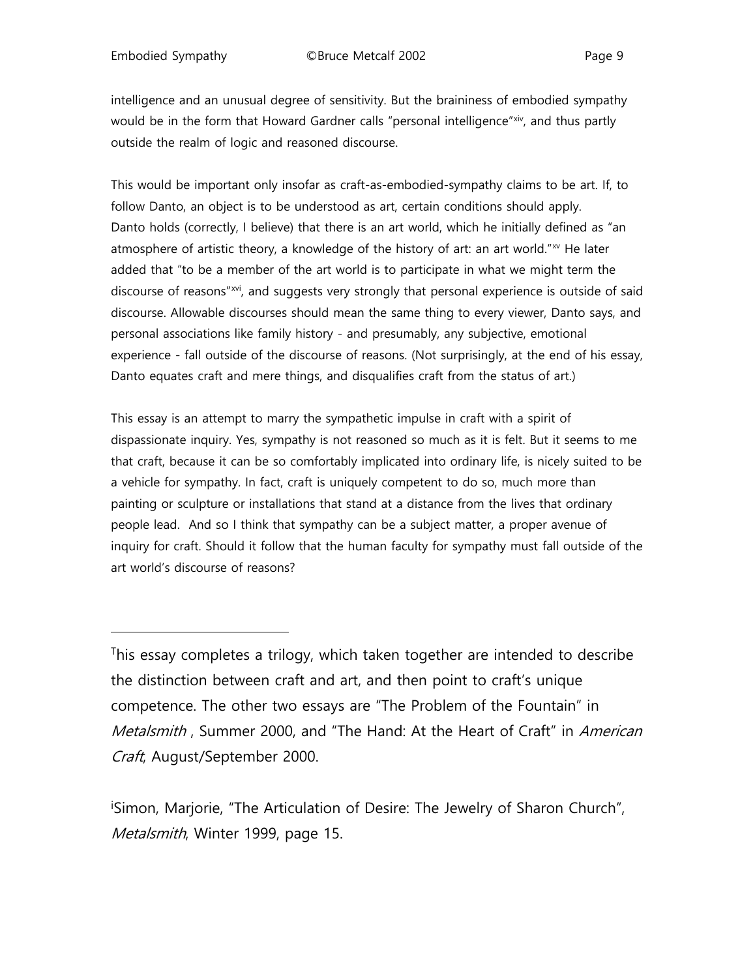l

intelligence and an unusual degree of sensitivity. But the braininess of embodied sympathy would be in the form that Howard Gardner calls "personal intelligence"[xiv](#page-9-12), and thus partly outside the realm of logic and reasoned discourse.

This would be important only insofar as craft-as-embodied-sympathy claims to be art. If, to follow Danto, an object is to be understood as art, certain conditions should apply. Danto holds (correctly, I believe) that there is an art world, which he initially defined as "an atmosphere of artistic theory, a knowledge of the history of art: an art world." $N$  He later added that "to be a member of the art world is to participate in what we might term the discourse of reasons"<sup>xvi</sup>, and suggests very strongly that personal experience is outside of said discourse. Allowable discourses should mean the same thing to every viewer, Danto says, and personal associations like family history - and presumably, any subjective, emotional experience - fall outside of the discourse of reasons. (Not surprisingly, at the end of his essay, Danto equates craft and mere things, and disqualifies craft from the status of art.)

This essay is an attempt to marry the sympathetic impulse in craft with a spirit of dispassionate inquiry. Yes, sympathy is not reasoned so much as it is felt. But it seems to me that craft, because it can be so comfortably implicated into ordinary life, is nicely suited to be a vehicle for sympathy. In fact, craft is uniquely competent to do so, much more than painting or sculpture or installations that stand at a distance from the lives that ordinary people lead. And so I think that sympathy can be a subject matter, a proper avenue of inquiry for craft. Should it follow that the human faculty for sympathy must fall outside of the art world's discourse of reasons?

i Simon, Marjorie, "The Articulation of Desire: The Jewelry of Sharon Church", Metalsmith, Winter 1999, page 15.

<span id="page-8-0"></span>This essay completes a trilogy, which taken together are intended to describe the distinction between craft and art, and then point to craft's unique competence. The other two essays are "The Problem of the Fountain" in Metalsmith, Summer 2000, and "The Hand: At the Heart of Craft" in American Craft, August/September 2000.